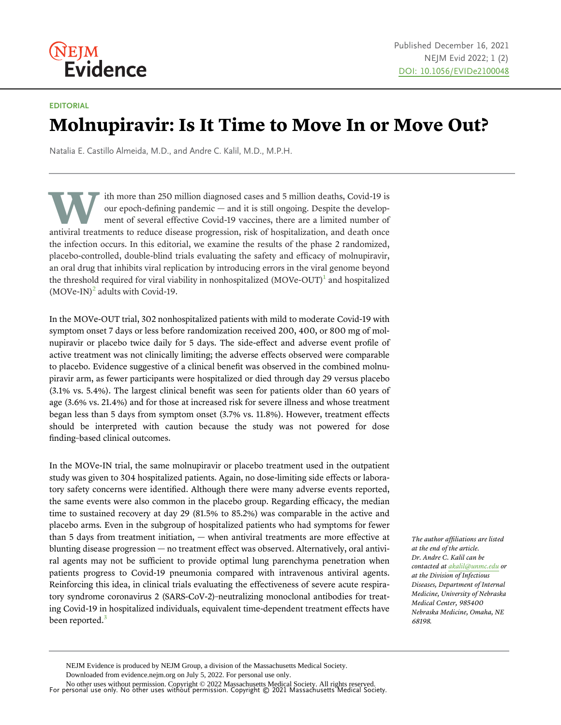# **NEJM** Evidence

### EDITORIAL

# Molnupiravir: Is It Time to Move In or Move Out?

Natalia E. Castillo Almeida, M.D., and Andre C. Kalil, M.D., M.P.H.

ith more than 250 million diagnosed cases and 5 million deaths, Covid-19 is our epoch-defining pandemic — and it is still ongoing. Despite the development of several effective Covid-19 vaccines, there are a limited number of antiviral treatments to reduce disease progression, risk of hospitalization, and death once the infection occurs. In this editorial, we examine the results of the phase 2 randomized, placebo-controlled, double-blind trials evaluating the safety and efficacy of molnupiravir, an oral drug that inhibits viral replication by introducing errors in the viral genome beyond the threshold required for viral viability in nonhospitalized  $(MOVe-OUT)^1$  $(MOVe-OUT)^1$  and hospitalized  $(MOVe-IN)^2$  $(MOVe-IN)^2$  adults with Covid-19.

In the MOVe-OUT trial, 302 nonhospitalized patients with mild to moderate Covid-19 with symptom onset 7 days or less before randomization received 200, 400, or 800 mg of molnupiravir or placebo twice daily for 5 days. The side-effect and adverse event profile of active treatment was not clinically limiting; the adverse effects observed were comparable to placebo. Evidence suggestive of a clinical benefit was observed in the combined molnupiravir arm, as fewer participants were hospitalized or died through day 29 versus placebo (3.1% vs. 5.4%). The largest clinical benefit was seen for patients older than 60 years of age (3.6% vs. 21.4%) and for those at increased risk for severe illness and whose treatment began less than 5 days from symptom onset (3.7% vs. 11.8%). However, treatment effects should be interpreted with caution because the study was not powered for dose finding–based clinical outcomes.

In the MOVe-IN trial, the same molnupiravir or placebo treatment used in the outpatient study was given to 304 hospitalized patients. Again, no dose-limiting side effects or laboratory safety concerns were identified. Although there were many adverse events reported, the same events were also common in the placebo group. Regarding efficacy, the median time to sustained recovery at day 29 (81.5% to 85.2%) was comparable in the active and placebo arms. Even in the subgroup of hospitalized patients who had symptoms for fewer than 5 days from treatment initiation, — when antiviral treatments are more effective at blunting disease progression — no treatment effect was observed. Alternatively, oral antiviral agents may not be sufficient to provide optimal lung parenchyma penetration when patients progress to Covid-19 pneumonia compared with intravenous antiviral agents. Reinforcing this idea, in clinical trials evaluating the effectiveness of severe acute respiratory syndrome coronavirus 2 (SARS-CoV-2)–neutralizing monoclonal antibodies for treating Covid-19 in hospitalized individuals, equivalent time-dependent treatment effects have been reported.<sup>[3](#page-2-0)</sup>

The author affiliations are listed at the end of the article. Dr. Andre C. Kalil can be contacted at [akalil@unmc.edu](mailto:akalil@unmc.edu) or at the Division of Infectious Diseases, Department of Internal Medicine, University of Nebraska Medical Center, 985400 Nebraska Medicine, Omaha, NE 68198.

For personal use only. No other uses without permission. Copyright © 2021 Massachusetts Medical Society. No other uses without permission. Copyright © 2022 Massachusetts Medical Society. All rights reserved.

NEJM Evidence is produced by NEJM Group, a division of the Massachusetts Medical Society.

Downloaded from evidence.nejm.org on July 5, 2022. For personal use only.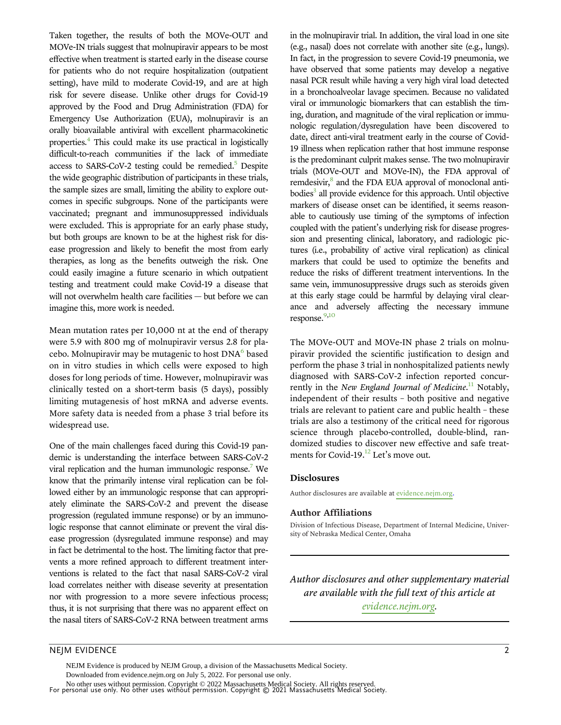Taken together, the results of both the MOVe-OUT and MOVe-IN trials suggest that molnupiravir appears to be most effective when treatment is started early in the disease course for patients who do not require hospitalization (outpatient setting), have mild to moderate Covid-19, and are at high risk for severe disease. Unlike other drugs for Covid-19 approved by the Food and Drug Administration (FDA) for Emergency Use Authorization (EUA), molnupiravir is an orally bioavailable antiviral with excellent pharmacokinetic properties.[4](#page-2-0) This could make its use practical in logistically difficult-to-reach communities if the lack of immediate access to SARS-CoV-2 testing could be remedied.<sup>[5](#page-2-0)</sup> Despite the wide geographic distribution of participants in these trials, the sample sizes are small, limiting the ability to explore outcomes in specific subgroups. None of the participants were vaccinated; pregnant and immunosuppressed individuals were excluded. This is appropriate for an early phase study, but both groups are known to be at the highest risk for disease progression and likely to benefit the most from early therapies, as long as the benefits outweigh the risk. One could easily imagine a future scenario in which outpatient testing and treatment could make Covid-19 a disease that will not overwhelm health care facilities - but before we can imagine this, more work is needed.

Mean mutation rates per 10,000 nt at the end of therapy were 5.9 with 800 mg of molnupiravir versus 2.8 for placebo. Molnupiravir may be mutagenic to host  $DNA<sup>6</sup>$  $DNA<sup>6</sup>$  $DNA<sup>6</sup>$  based on in vitro studies in which cells were exposed to high doses for long periods of time. However, molnupiravir was clinically tested on a short-term basis (5 days), possibly limiting mutagenesis of host mRNA and adverse events. More safety data is needed from a phase 3 trial before its widespread use.

One of the main challenges faced during this Covid-19 pandemic is understanding the interface between SARS-CoV-2 viral replication and the human immunologic response.<sup>[7](#page-2-0)</sup> We know that the primarily intense viral replication can be followed either by an immunologic response that can appropriately eliminate the SARS-CoV-2 and prevent the disease progression (regulated immune response) or by an immunologic response that cannot eliminate or prevent the viral disease progression (dysregulated immune response) and may in fact be detrimental to the host. The limiting factor that prevents a more refined approach to different treatment interventions is related to the fact that nasal SARS-CoV-2 viral load correlates neither with disease severity at presentation nor with progression to a more severe infectious process; thus, it is not surprising that there was no apparent effect on the nasal titers of SARS-CoV-2 RNA between treatment arms in the molnupiravir trial. In addition, the viral load in one site (e.g., nasal) does not correlate with another site (e.g., lungs). In fact, in the progression to severe Covid-19 pneumonia, we have observed that some patients may develop a negative nasal PCR result while having a very high viral load detected in a bronchoalveolar lavage specimen. Because no validated viral or immunologic biomarkers that can establish the timing, duration, and magnitude of the viral replication or immunologic regulation/dysregulation have been discovered to date, direct anti-viral treatment early in the course of Covid-19 illness when replication rather that host immune response is the predominant culprit makes sense. The two molnupiravir trials (MOVe-OUT and MOVe-IN), the FDA approval of remdesivir,<sup>[8](#page-2-0)</sup> and the FDA EUA approval of monoclonal anti $b$ odies $3$  all provide evidence for this approach. Until objective markers of disease onset can be identified, it seems reasonable to cautiously use timing of the symptoms of infection coupled with the patient's underlying risk for disease progression and presenting clinical, laboratory, and radiologic pictures (i.e., probability of active viral replication) as clinical markers that could be used to optimize the benefits and reduce the risks of different treatment interventions. In the same vein, immunosuppressive drugs such as steroids given at this early stage could be harmful by delaying viral clearance and adversely affecting the necessary immune response.<sup>[9](#page-2-0),[10](#page-2-0)</sup>

The MOVe-OUT and MOVe-IN phase 2 trials on molnupiravir provided the scientific justification to design and perform the phase 3 trial in nonhospitalized patients newly diagnosed with SARS-CoV-2 infection reported concur-rently in the New England Journal of Medicine.<sup>[11](#page-2-0)</sup> Notably, independent of their results – both positive and negative trials are relevant to patient care and public health – these trials are also a testimony of the critical need for rigorous science through placebo-controlled, double-blind, randomized studies to discover new effective and safe treat-ments for Covid-19.<sup>[12](#page-2-0)</sup> Let's move out.

#### Disclosures

Author disclosures are available at [evidence.nejm.org](http://evidence.nejm.org).

#### Author Affiliations

Division of Infectious Disease, Department of Internal Medicine, University of Nebraska Medical Center, Omaha

Author disclosures and other supplementary material are available with the full text of this article at [evidence.nejm.org.](http://evidence.nejm.org)

# NEJM EVIDENCE 2

NEJM Evidence is produced by NEJM Group, a division of the Massachusetts Medical Society. Downloaded from evidence.nejm.org on July 5, 2022. For personal use only.

For personal use only. No other uses without permission. Copyright © 2021 Massachusetts Medical Society. No other uses without permission. Copyright © 2022 Massachusetts Medical Society. All rights reserved.